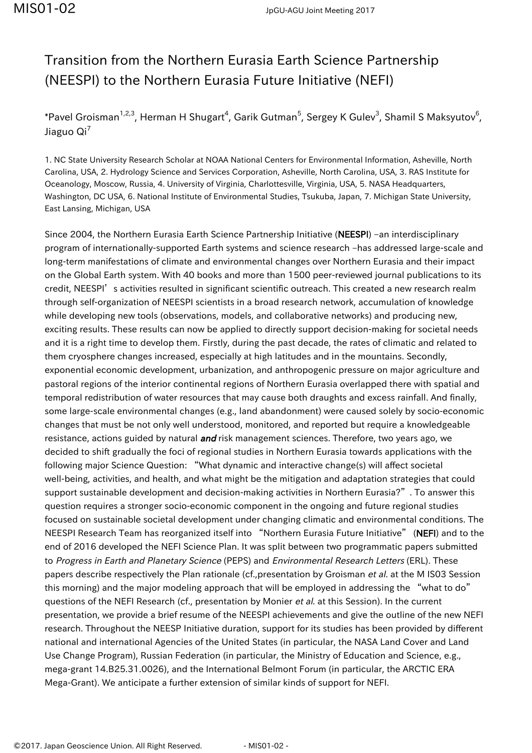## Transition from the Northern Eurasia Earth Science Partnership (NEESPI) to the Northern Eurasia Future Initiative (NEFI)

\*Pavel Groisman $^{1,2,3}$ , Herman H Shugart $^4$ , Garik Gutman $^5$ , Sergey K Gulev $^3$ , Shamil S Maksyutov $^6$ , Jiaguo  $\text{Qi}^7$ 

1. NC State University Research Scholar at NOAA National Centers for Environmental Information, Asheville, North Carolina, USA, 2. Hydrology Science and Services Corporation, Asheville, North Carolina, USA, 3. RAS Institute for Oceanology, Moscow, Russia, 4. University of Virginia, Charlottesville, Virginia, USA, 5. NASA Headquarters, Washington, DC USA, 6. National Institute of Environmental Studies, Tsukuba, Japan, 7. Michigan State University, East Lansing, Michigan, USA

Since 2004, the Northern Eurasia Earth Science Partnership Initiative (NEESPI) -an interdisciplinary program of internationally-supported Earth systems and science research –has addressed large-scale and long-term manifestations of climate and environmental changes over Northern Eurasia and their impact on the Global Earth system. With 40 books and more than 1500 peer-reviewed journal publications to its credit, NEESPI's activities resulted in significant scientific outreach. This created a new research realm through self-organization of NEESPI scientists in a broad research network, accumulation of knowledge while developing new tools (observations, models, and collaborative networks) and producing new, exciting results. These results can now be applied to directly support decision-making for societal needs and it is a right time to develop them. Firstly, during the past decade, the rates of climatic and related to them cryosphere changes increased, especially at high latitudes and in the mountains. Secondly, exponential economic development, urbanization, and anthropogenic pressure on major agriculture and pastoral regions of the interior continental regions of Northern Eurasia overlapped there with spatial and temporal redistribution of water resources that may cause both draughts and excess rainfall. And finally, some large-scale environmental changes (e.g., land abandonment) were caused solely by socio-economic changes that must be not only well understood, monitored, and reported but require a knowledgeable resistance, actions guided by natural and risk management sciences. Therefore, two years ago, we decided to shift gradually the foci of regional studies in Northern Eurasia towards applications with the following major Science Question: "What dynamic and interactive change(s) will affect societal well-being, activities, and health, and what might be the mitigation and adaptation strategies that could support sustainable development and decision-making activities in Northern Eurasia?". To answer this question requires a stronger socio-economic component in the ongoing and future regional studies focused on sustainable societal development under changing climatic and environmental conditions. The NEESPI Research Team has reorganized itself into "Northern Eurasia Future Initiative" (NEFI) and to the end of 2016 developed the NEFI Science Plan. It was split between two programmatic papers submitted to Progress in Earth and Planetary Science (PEPS) and Environmental Research Letters (ERL). These papers describe respectively the Plan rationale (cf.,presentation by Groisman et al. at the M IS03 Session this morning) and the major modeling approach that will be employed in addressing the "what to do" questions of the NEFI Research (cf., presentation by Monier et al. at this Session). In the current presentation, we provide a brief resume of the NEESPI achievements and give the outline of the new NEFI research. Throughout the NEESP Initiative duration, support for its studies has been provided by different national and international Agencies of the United States (in particular, the NASA Land Cover and Land Use Change Program), Russian Federation (in particular, the Ministry of Education and Science, e.g., mega-grant 14.B25.31.0026), and the International Belmont Forum (in particular, the ARCTIC ERA Mega-Grant). We anticipate a further extension of similar kinds of support for NEFI.